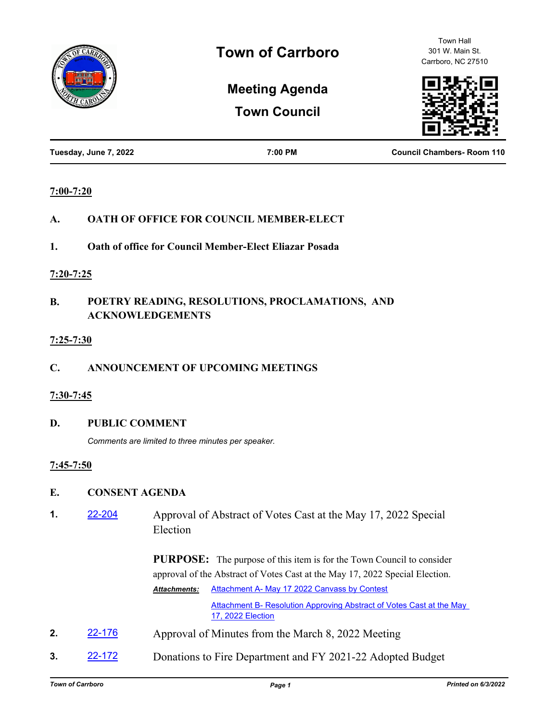

Town Hall 301 W. Main St. Carrboro, NC 27510

# **Meeting Agenda**

**Town Council**

| Tuesday, June 7, 2022 | 7:00 PM | <b>Council Chambers-Room 110</b> |
|-----------------------|---------|----------------------------------|
|                       |         |                                  |

#### **7:00-7:20**

- **A. OATH OF OFFICE FOR COUNCIL MEMBER-ELECT**
- **1. Oath of office for Council Member-Elect Eliazar Posada**

#### **7:20-7:25**

## **B. POETRY READING, RESOLUTIONS, PROCLAMATIONS, AND ACKNOWLEDGEMENTS**

#### **7:25-7:30**

## **C. ANNOUNCEMENT OF UPCOMING MEETINGS**

## **7:30-7:45**

## **D. PUBLIC COMMENT**

*Comments are limited to three minutes per speaker.*

## **7:45-7:50**

## **E. CONSENT AGENDA**

**1.** [22-204](http://carrboro.legistar.com/gateway.aspx?m=l&id=/matter.aspx?key=4812) Approval of Abstract of Votes Cast at the May 17, 2022 Special Election

> **PURPOSE:** The purpose of this item is for the Town Council to consider approval of the Abstract of Votes Cast at the May 17, 2022 Special Election. [Attachment A- May 17 2022 Canvass by Contest](http://carrboro.legistar.com/gateway.aspx?M=F&ID=c9a07193-834d-4ee8-a32a-1d8fdd4d733a.pdf) *Attachments:*

> > [Attachment B- Resolution Approving Abstract of Votes Cast at the May](http://carrboro.legistar.com/gateway.aspx?M=F&ID=c21e1306-e918-4845-83a0-41a708eb8a37.pdf)  17, 2022 Election

- **2.** [22-176](http://carrboro.legistar.com/gateway.aspx?m=l&id=/matter.aspx?key=4789) Approval of Minutes from the March 8, 2022 Meeting
- **3.** [22-172](http://carrboro.legistar.com/gateway.aspx?m=l&id=/matter.aspx?key=4785) Donations to Fire Department and FY 2021-22 Adopted Budget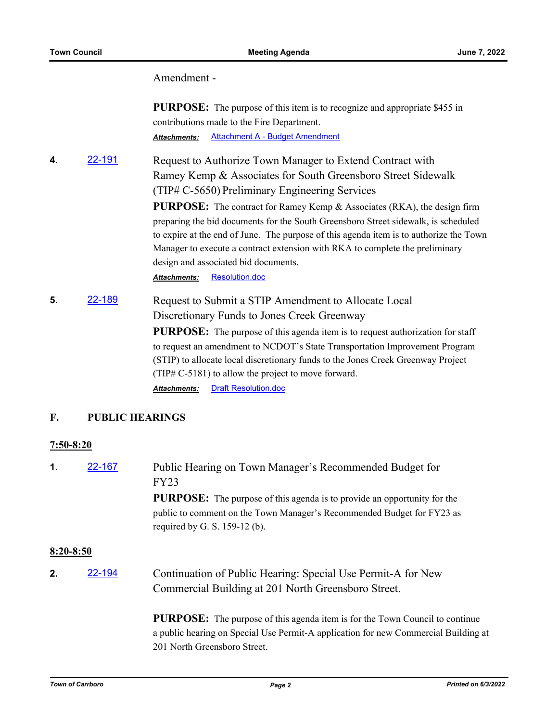#### Amendment -

**PURPOSE:** The purpose of this item is to recognize and appropriate \$455 in contributions made to the Fire Department. *Attachments:* [Attachment A - Budget Amendment](http://carrboro.legistar.com/gateway.aspx?M=F&ID=deea1f01-de1b-45f6-9803-923a597bf665.docx)

**4.** [22-191](http://carrboro.legistar.com/gateway.aspx?m=l&id=/matter.aspx?key=4804) Request to Authorize Town Manager to Extend Contract with Ramey Kemp & Associates for South Greensboro Street Sidewalk (TIP# C-5650) Preliminary Engineering Services **PURPOSE:** The contract for Ramey Kemp & Associates (RKA), the design firm preparing the bid documents for the South Greensboro Street sidewalk, is scheduled to expire at the end of June. The purpose of this agenda item is to authorize the Town Manager to execute a contract extension with RKA to complete the preliminary design and associated bid documents.

*Attachments:* [Resolution.doc](http://carrboro.legistar.com/gateway.aspx?M=F&ID=fe987800-0198-440a-bf2d-ee7e3da7c915.doc)

**5.** [22-189](http://carrboro.legistar.com/gateway.aspx?m=l&id=/matter.aspx?key=4802) Request to Submit a STIP Amendment to Allocate Local Discretionary Funds to Jones Creek Greenway **PURPOSE:** The purpose of this agenda item is to request authorization for staff to request an amendment to NCDOT's State Transportation Improvement Program (STIP) to allocate local discretionary funds to the Jones Creek Greenway Project (TIP# C-5181) to allow the project to move forward. *Attachments:* [Draft Resolution.doc](http://carrboro.legistar.com/gateway.aspx?M=F&ID=c95e83d3-0be9-4dc1-9932-fe885cd66220.doc)

#### **F. PUBLIC HEARINGS**

#### **7:50-8:20**

**1. [22-167](http://carrboro.legistar.com/gateway.aspx?m=l&id=/matter.aspx?key=4780)** Public Hearing on Town Manager's Recommended Budget for FY23 **PURPOSE:** The purpose of this agenda is to provide an opportunity for the public to comment on the Town Manager's Recommended Budget for FY23 as required by G. S. 159-12 (b).

#### **8:20-8:50**

**2.** [22-194](http://carrboro.legistar.com/gateway.aspx?m=l&id=/matter.aspx?key=4807) Continuation of Public Hearing: Special Use Permit-A for New Commercial Building at 201 North Greensboro Street.

> **PURPOSE:** The purpose of this agenda item is for the Town Council to continue a public hearing on Special Use Permit-A application for new Commercial Building at 201 North Greensboro Street.